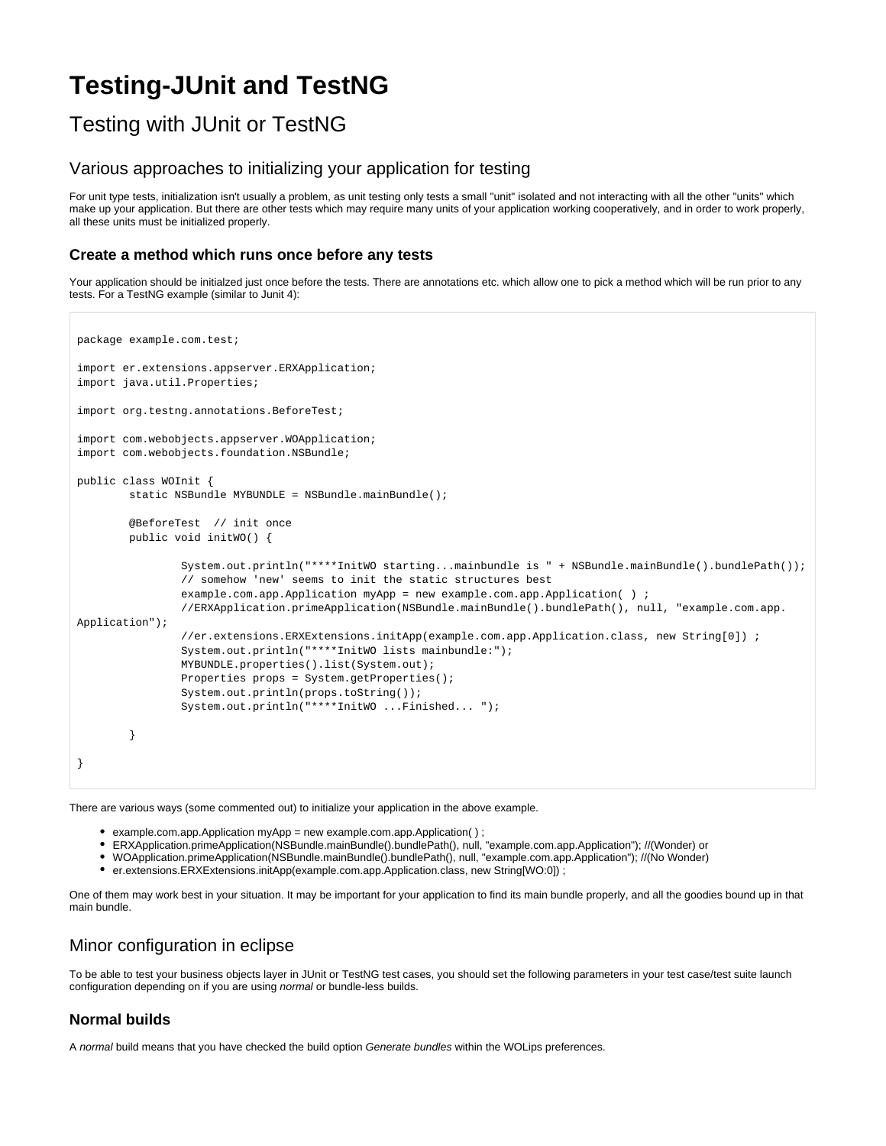# **Testing-JUnit and TestNG**

# Testing with JUnit or TestNG

# Various approaches to initializing your application for testing

For unit type tests, initialization isn't usually a problem, as unit testing only tests a small "unit" isolated and not interacting with all the other "units" which make up your application. But there are other tests which may require many units of your application working cooperatively, and in order to work properly, all these units must be initialized properly.

### **Create a method which runs once before any tests**

Your application should be initialzed just once before the tests. There are annotations etc. which allow one to pick a method which will be run prior to any tests. For a TestNG example (similar to Junit 4):

```
package example.com.test;
import er.extensions.appserver.ERXApplication;
import java.util.Properties;
import org.testng.annotations.BeforeTest;
import com.webobjects.appserver.WOApplication;
import com.webobjects.foundation.NSBundle;
public class WOInit {
         static NSBundle MYBUNDLE = NSBundle.mainBundle();
         @BeforeTest // init once
         public void initWO() {
                 System.out.println("****InitWO starting...mainbundle is " + NSBundle.mainBundle().bundlePath());
                 // somehow 'new' seems to init the static structures best
                example.com.app.Application myApp = new example.com.app.Application( ) ;
                 //ERXApplication.primeApplication(NSBundle.mainBundle().bundlePath(), null, "example.com.app.
Application");
                 //er.extensions.ERXExtensions.initApp(example.com.app.Application.class, new String[0]) ;
                 System.out.println("****InitWO lists mainbundle:");
                 MYBUNDLE.properties().list(System.out);
                 Properties props = System.getProperties();
                 System.out.println(props.toString());
                 System.out.println("****InitWO ...Finished... ");
 }
}
```
There are various ways (some commented out) to initialize your application in the above example.

- example.com.app.Application myApp = new example.com.app.Application( ) ;
- ERXApplication.primeApplication(NSBundle.mainBundle().bundlePath(), null, "example.com.app.Application"); //(Wonder) or
- WOApplication.primeApplication(NSBundle.mainBundle().bundlePath(), null, "example.com.app.Application"); //(No Wonder)
- er.extensions.ERXExtensions.initApp(example.com.app.Application.class, new String[WO:0]) ;

One of them may work best in your situation. It may be important for your application to find its main bundle properly, and all the goodies bound up in that main bundle.

# Minor configuration in eclipse

To be able to test your business objects layer in JUnit or TestNG test cases, you should set the following parameters in your test case/test suite launch configuration depending on if you are using normal or bundle-less builds.

#### **Normal builds**

A normal build means that you have checked the build option Generate bundles within the WOLips preferences.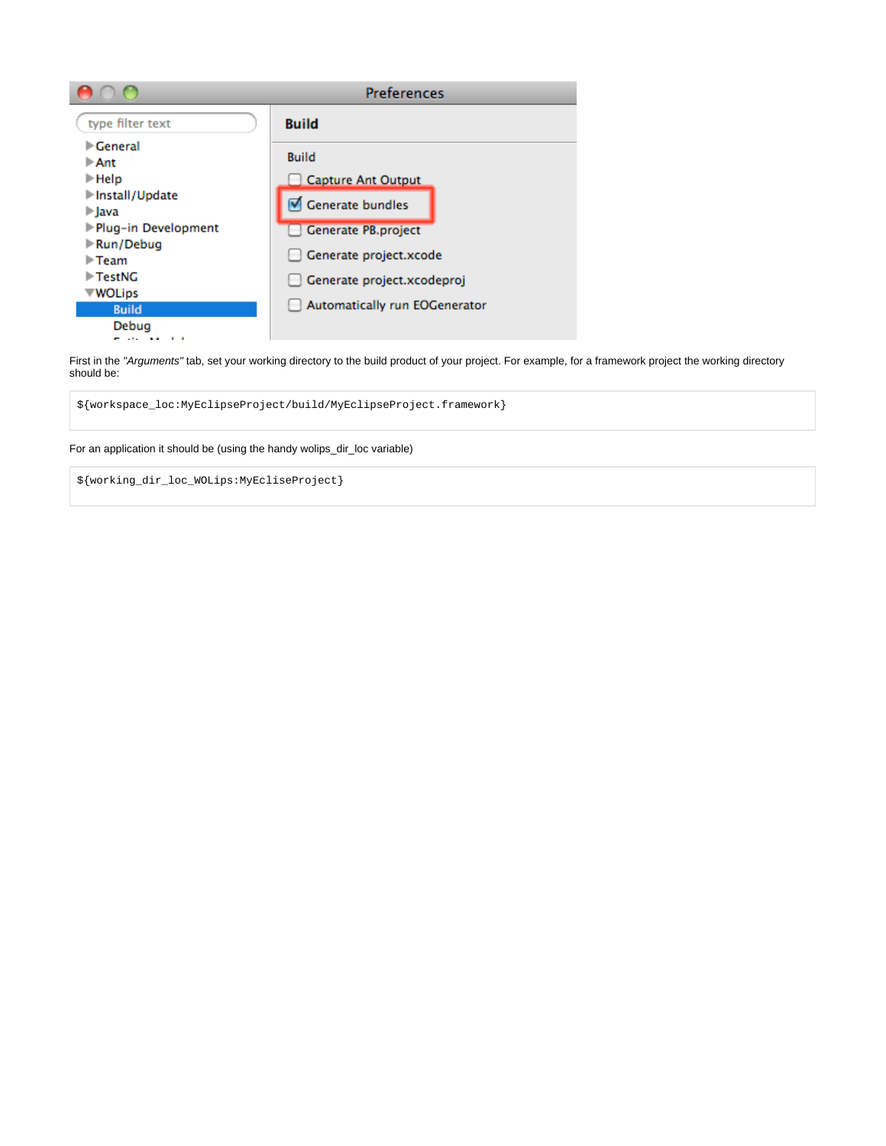|                                                               | <b>Preferences</b>            |
|---------------------------------------------------------------|-------------------------------|
| type filter text                                              | <b>Build</b>                  |
| $\blacktriangleright$ General<br>$\triangleright$ Ant         | <b>Build</b>                  |
| $\blacktriangleright$ Help                                    | <b>Capture Ant Output</b>     |
| Install/Update<br>$\blacktriangleright$ lava                  | Generate bundles              |
| Plug-in Development                                           | Generate PB.project           |
| $\blacktriangleright$ Run/Debug<br>$\blacktriangleright$ Team | Generate project.xcode        |
| $\blacktriangleright$ TestNG                                  | Generate project.xcodeproj    |
| <b>WOLips</b><br><b>Build</b>                                 | Automatically run EOGenerator |
| Debua<br>. .                                                  |                               |

First in the "Arguments" tab, set your working directory to the build product of your project. For example, for a framework project the working directory should be:

\${workspace\_loc:MyEclipseProject/build/MyEclipseProject.framework}

#### For an application it should be (using the handy wolips\_dir\_loc variable)

\${working\_dir\_loc\_WOLips:MyEcliseProject}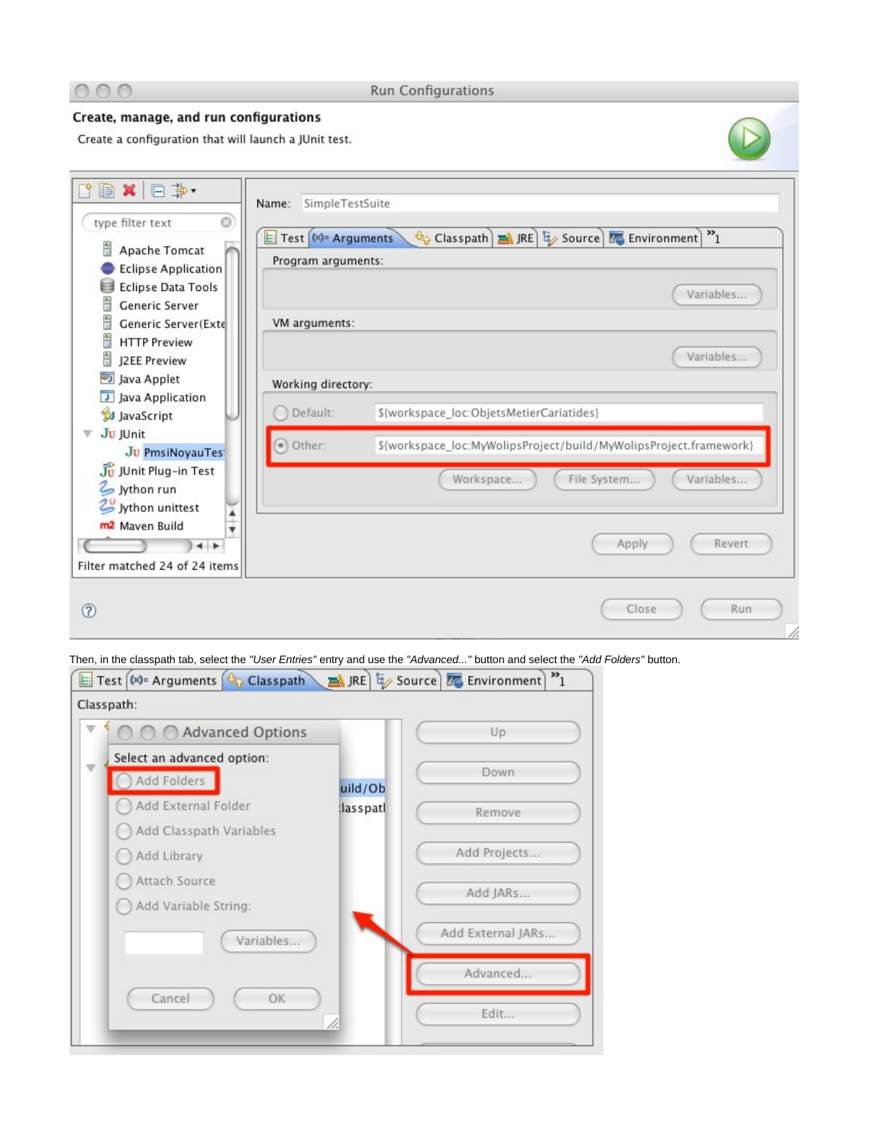

**Run Configurations** 

## Create, manage, and run configurations

Create a configuration that will launch a JUnit test.



Then, in the classpath tab, select the "User Entries" entry and use the "Advanced..." button and select the "Add Folders" button.

| Advanced Options           |          | Up                |
|----------------------------|----------|-------------------|
| Select an advanced option: |          |                   |
| Add Folders                | uild/Ob  | <b>Down</b>       |
| Add External Folder        | lasspatl | Remove            |
| Add Classpath Variables    |          |                   |
| Add Library                |          | Add Projects      |
| Attach Source              |          | Add JARs          |
| Add Variable String:       |          |                   |
| Variables                  |          | Add External JARs |
|                            |          | Advanced          |
| OK<br>Cancel               |          | Edit              |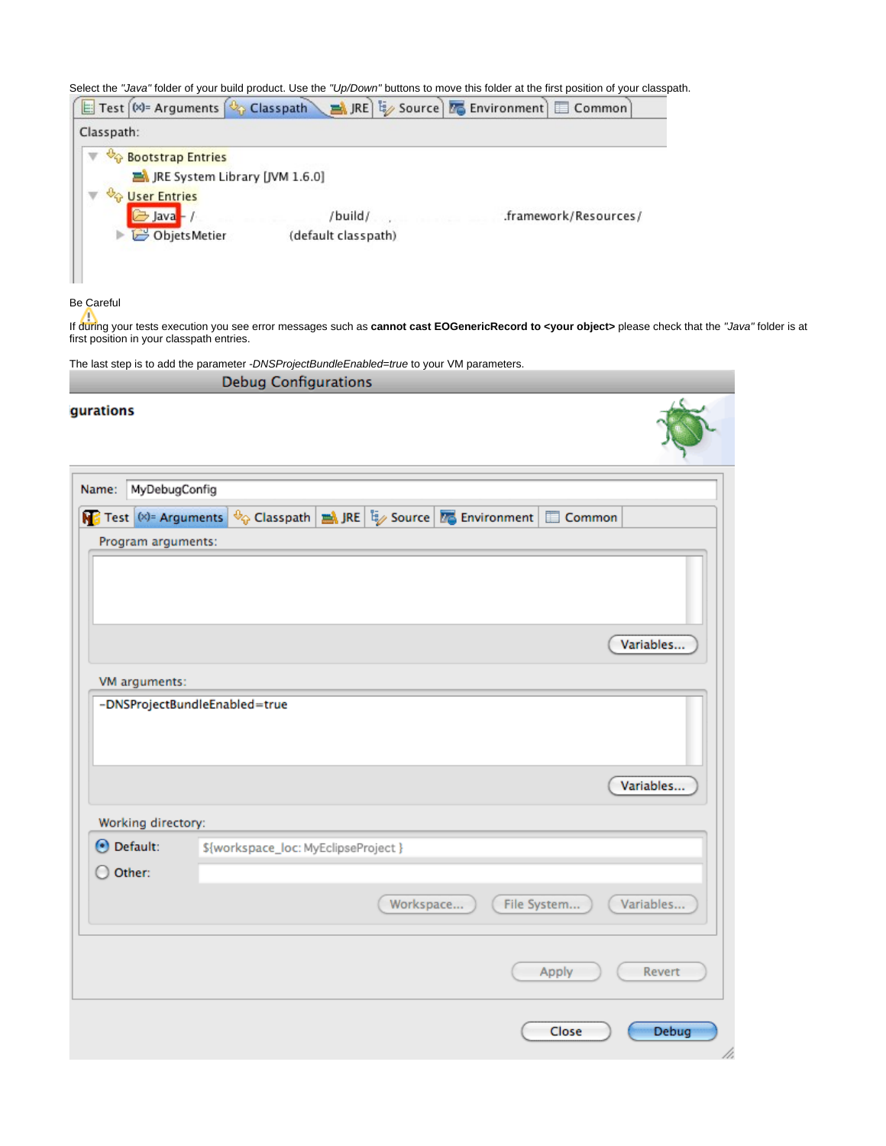Select the "Java" folder of your build product. Use the "Up/Down" buttons to move this folder at the first position of your classpath.



Be Careful

If during your tests execution you see error messages such as **cannot cast EOGenericRecord to <your object>** please check that the "Java" folder is at first position in your classpath entries.

The last step is to add the parameter -DNSProjectBundleEnabled=true to your VM parameters.

|                                  | <b>Debug Configurations</b>                                                                 |  |
|----------------------------------|---------------------------------------------------------------------------------------------|--|
| <i><b>igurations</b></i>         |                                                                                             |  |
| MyDebugConfig<br>Name:           |                                                                                             |  |
|                                  | JRE   Explored Expansion of the Source   Experiment   Gig Environment  <br><b>ED</b> Common |  |
| Program arguments:               |                                                                                             |  |
|                                  |                                                                                             |  |
|                                  | Variables                                                                                   |  |
| VM arguments:                    |                                                                                             |  |
|                                  |                                                                                             |  |
|                                  | Variables                                                                                   |  |
| Working directory:<br>⊙ Default: | \${workspace_loc: MyEclipseProject }                                                        |  |
| $\bigcirc$ Other:                |                                                                                             |  |
|                                  | Workspace<br>File System<br>Variables                                                       |  |
|                                  | Revert<br>Apply                                                                             |  |